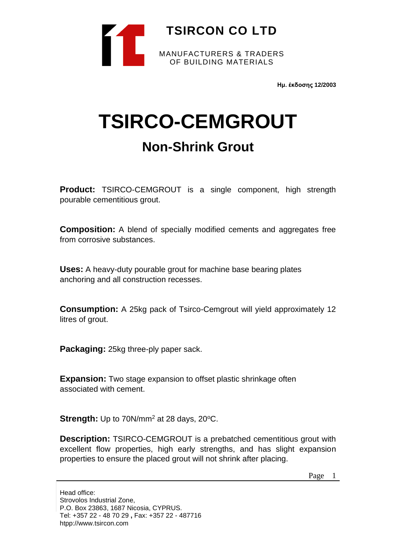

**Ημ. έκδοσης 12/2003**

# **TSIRCO-CEMGROUT Non-Shrink Grout**

**Product:** TSIRCO-CEMGROUT is a single component, high strength pourable cementitious grout.

**Composition:** A blend of specially modified cements and aggregates free from corrosive substances.

**Uses:** A heavy-duty pourable grout for machine base bearing plates anchoring and all construction recesses.

**Consumption:** A 25kg pack of Tsirco-Cemgrout will yield approximately 12 litres of grout.

**Packaging:** 25kg three-ply paper sack.

**Expansion:** Two stage expansion to offset plastic shrinkage often associated with cement.

**Strength:** Up to 70N/mm<sup>2</sup> at 28 days, 20°C.

**Description:** TSIRCO-CEMGROUT is a prebatched cementitious grout with excellent flow properties, high early strengths, and has slight expansion properties to ensure the placed grout will not shrink after placing.

Page 1

Head office: Strovolos Industrial Zone, P.O. Box 23863, 1687 Nicosia, CYPRUS. Tel: +357 22 - 48 70 29 **,** Fax: +357 22 - 487716 htpp://www.tsircon.com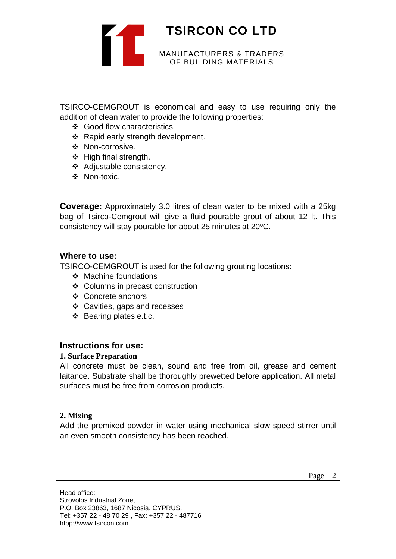

TSIRCO-CEMGROUT is economical and easy to use requiring only the addition of clean water to provide the following properties:

- ❖ Good flow characteristics.
- ❖ Rapid early strength development.
- ❖ Non-corrosive.
- ❖ High final strength.
- ❖ Adjustable consistency.
- ❖ Non-toxic.

**Coverage:** Approximately 3.0 litres of clean water to be mixed with a 25kg bag of Tsirco-Cemgrout will give a fluid pourable grout of about 12 lt. This consistency will stay pourable for about 25 minutes at 20°C.

#### **Where to use:**

TSIRCO-CEMGROUT is used for the following grouting locations:

- ❖ Machine foundations
- ❖ Columns in precast construction
- ❖ Concrete anchors
- ❖ Cavities, gaps and recesses
- ❖ Bearing plates e.t.c.

## **Instructions for use:**

#### **1. Surface Preparation**

All concrete must be clean, sound and free from oil, grease and cement laitance. Substrate shall be thoroughly prewetted before application. All metal surfaces must be free from corrosion products.

#### **2. Mixing**

Add the premixed powder in water using mechanical slow speed stirrer until an even smooth consistency has been reached.

Head office: Strovolos Industrial Zone, P.O. Box 23863, 1687 Nicosia, CYPRUS. Tel: +357 22 - 48 70 29 **,** Fax: +357 22 - 487716 htpp://www.tsircon.com

Page 2